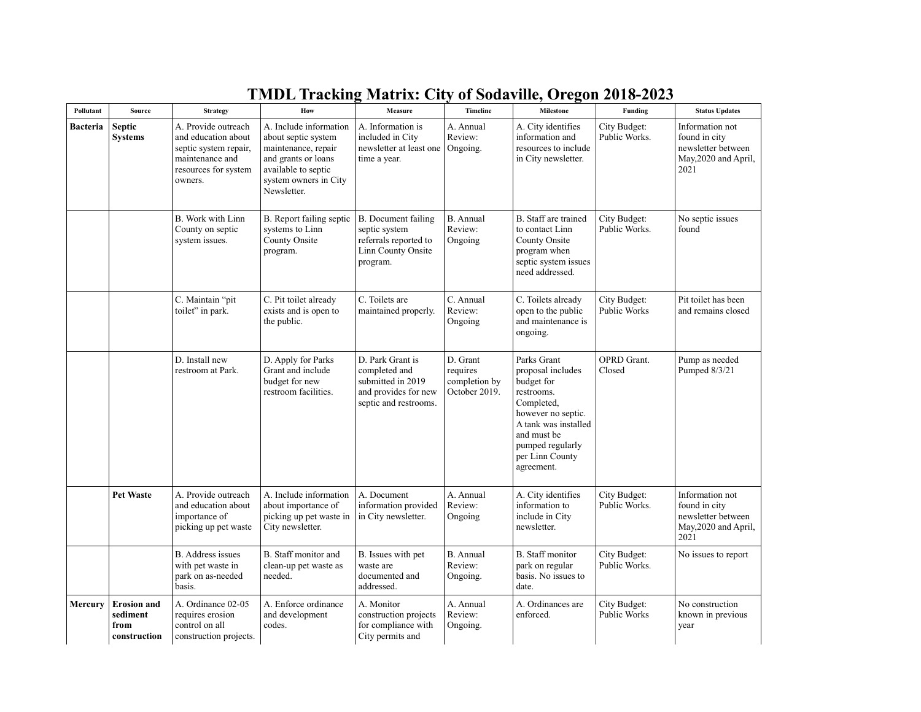| Pollutant       | Source                                                 | <b>Strategy</b>                                                                                                           | How                                                                                                                                                        | Measure                                                                                                 | <b>Timeline</b>                                        | Milestone                                                                                                                                                                                    | Funding                       | <b>Status Updates</b>                                                                  |
|-----------------|--------------------------------------------------------|---------------------------------------------------------------------------------------------------------------------------|------------------------------------------------------------------------------------------------------------------------------------------------------------|---------------------------------------------------------------------------------------------------------|--------------------------------------------------------|----------------------------------------------------------------------------------------------------------------------------------------------------------------------------------------------|-------------------------------|----------------------------------------------------------------------------------------|
| <b>Bacteria</b> | <b>Septic</b><br><b>Systems</b>                        | A. Provide outreach<br>and education about<br>septic system repair,<br>maintenance and<br>resources for system<br>owners. | A. Include information<br>about septic system<br>maintenance, repair<br>and grants or loans<br>available to septic<br>system owners in City<br>Newsletter. | A. Information is<br>included in City<br>newsletter at least one<br>time a year.                        | A. Annual<br>Review:<br>Ongoing.                       | A. City identifies<br>information and<br>resources to include<br>in City newsletter.                                                                                                         | City Budget:<br>Public Works. | Information not<br>found in city<br>newsletter between<br>May, 2020 and April,<br>2021 |
|                 |                                                        | B. Work with Linn<br>County on septic<br>system issues.                                                                   | B. Report failing septic<br>systems to Linn<br>County Onsite<br>program.                                                                                   | B. Document failing<br>septic system<br>referrals reported to<br>Linn County Onsite<br>program.         | <b>B.</b> Annual<br>Review:<br>Ongoing                 | B. Staff are trained<br>to contact Linn<br>County Onsite<br>program when<br>septic system issues<br>need addressed.                                                                          | City Budget:<br>Public Works. | No septic issues<br>found                                                              |
|                 |                                                        | C. Maintain "pit<br>toilet" in park.                                                                                      | C. Pit toilet already<br>exists and is open to<br>the public.                                                                                              | C. Toilets are<br>maintained properly.                                                                  | C. Annual<br>Review:<br>Ongoing                        | C. Toilets already<br>open to the public<br>and maintenance is<br>ongoing.                                                                                                                   | City Budget:<br>Public Works  | Pit toilet has been<br>and remains closed                                              |
|                 |                                                        | D. Install new<br>restroom at Park.                                                                                       | D. Apply for Parks<br>Grant and include<br>budget for new<br>restroom facilities.                                                                          | D. Park Grant is<br>completed and<br>submitted in 2019<br>and provides for new<br>septic and restrooms. | D. Grant<br>requires<br>completion by<br>October 2019. | Parks Grant<br>proposal includes<br>budget for<br>restrooms.<br>Completed,<br>however no septic.<br>A tank was installed<br>and must be<br>pumped regularly<br>per Linn County<br>agreement. | <b>OPRD</b> Grant.<br>Closed  | Pump as needed<br>Pumped $8/3/21$                                                      |
|                 | <b>Pet Waste</b>                                       | A. Provide outreach<br>and education about<br>importance of<br>picking up pet waste                                       | A. Include information<br>about importance of<br>picking up pet waste in<br>City newsletter.                                                               | A. Document<br>information provided<br>in City newsletter.                                              | A. Annual<br>Review:<br>Ongoing                        | A. City identifies<br>information to<br>include in City<br>newsletter.                                                                                                                       | City Budget:<br>Public Works. | Information not<br>found in city<br>newsletter between<br>May, 2020 and April,<br>2021 |
|                 |                                                        | <b>B.</b> Address issues<br>with pet waste in<br>park on as-needed<br>basis.                                              | B. Staff monitor and<br>clean-up pet waste as<br>needed.                                                                                                   | B. Issues with pet<br>waste are<br>documented and<br>addressed.                                         | <b>B.</b> Annual<br>Review:<br>Ongoing.                | <b>B.</b> Staff monitor<br>park on regular<br>basis. No issues to<br>date.                                                                                                                   | City Budget:<br>Public Works. | No issues to report                                                                    |
| Mercury         | <b>Erosion and</b><br>sediment<br>from<br>construction | A. Ordinance 02-05<br>requires erosion<br>control on all<br>construction projects.                                        | A. Enforce ordinance<br>and development<br>codes.                                                                                                          | A. Monitor<br>construction projects<br>for compliance with<br>City permits and                          | A. Annual<br>Review:<br>Ongoing.                       | A. Ordinances are<br>enforced.                                                                                                                                                               | City Budget:<br>Public Works  | No construction<br>known in previous<br>year                                           |

## **TMDL Tracking Matrix: City of Sodaville, Oregon 2018-2023**